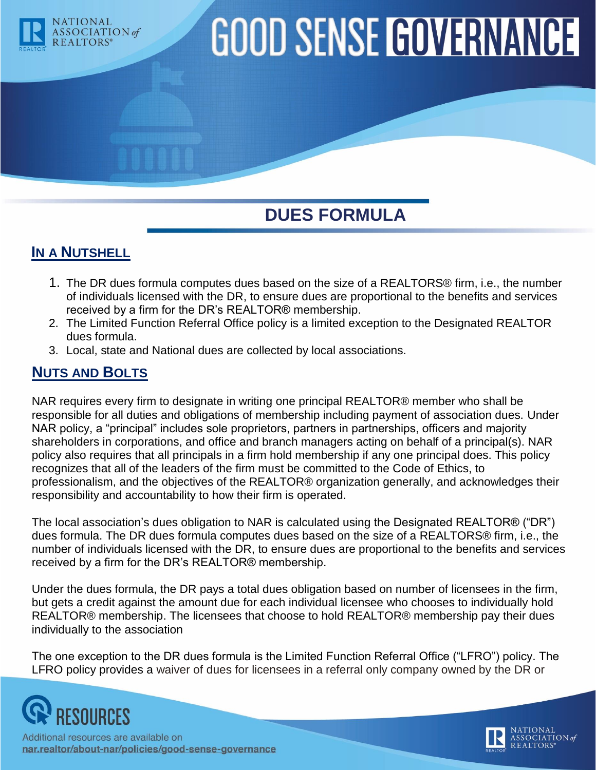

# **GOOD SENSE GOVERNANCE**

## **DUES FORMULA**

### **IN A NUTSHELL**

- 1. The DR dues formula computes dues based on the size of a REALTORS® firm, i.e., the number of individuals licensed with the DR, to ensure dues are proportional to the benefits and services received by a firm for the DR's REALTOR® membership.
- 2. The Limited Function Referral Office policy is a limited exception to the Designated REALTOR dues formula.
- 3. Local, state and National dues are collected by local associations.

#### **NUTS AND BOLTS**

NAR requires every firm to designate in writing one principal REALTOR® member who shall be responsible for all duties and obligations of membership including payment of association dues. Under NAR policy, a "principal" includes sole proprietors, partners in partnerships, officers and majority shareholders in corporations, and office and branch managers acting on behalf of a principal(s). NAR policy also requires that all principals in a firm hold membership if any one principal does. This policy recognizes that all of the leaders of the firm must be committed to the Code of Ethics, to professionalism, and the objectives of the REALTOR® organization generally, and acknowledges their responsibility and accountability to how their firm is operated.

The local association's dues obligation to NAR is calculated using the Designated REALTOR® ("DR") dues formula. The DR dues formula computes dues based on the size of a REALTORS® firm, i.e., the number of individuals licensed with the DR, to ensure dues are proportional to the benefits and services received by a firm for the DR's REALTOR® membership.

Under the dues formula, the DR pays a total dues obligation based on number of licensees in the firm, but gets a credit against the amount due for each individual licensee who chooses to individually hold REALTOR® membership. The licensees that choose to hold REALTOR® membership pay their dues individually to the association

The one exception to the DR dues formula is the Limited Function Referral Office ("LFRO") policy. The LFRO policy provides a waiver of dues for licensees in a referral only company owned by the DR or



Additional resources are available on nar.realtor/about-nar/policies/good-sense-governance